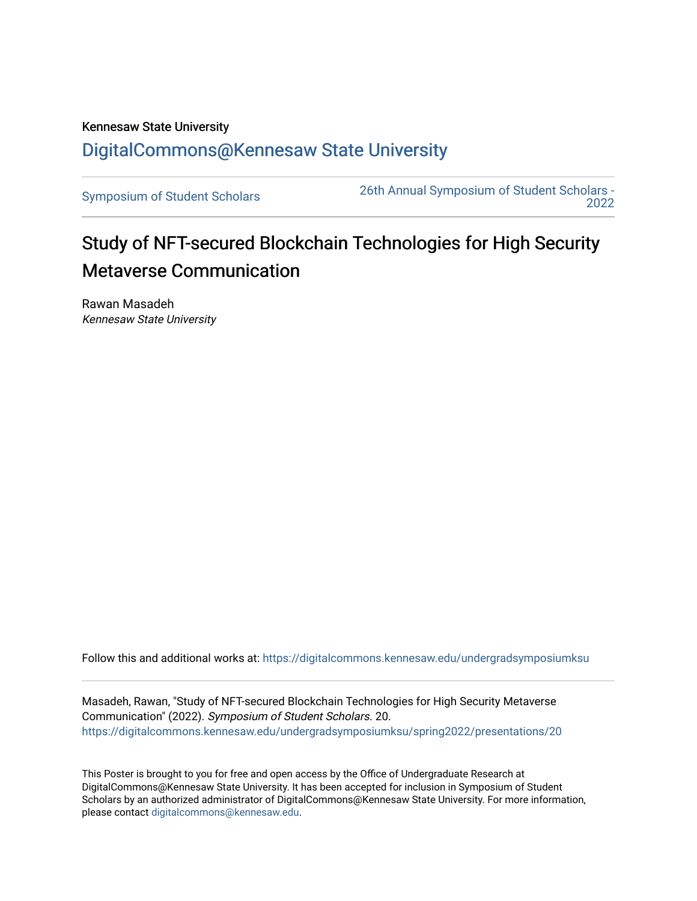## Kennesaw State University [DigitalCommons@Kennesaw State University](https://digitalcommons.kennesaw.edu/)

[Symposium of Student Scholars](https://digitalcommons.kennesaw.edu/undergradsymposiumksu) [26th Annual Symposium of Student Scholars -](https://digitalcommons.kennesaw.edu/undergradsymposiumksu/spring2022)  [2022](https://digitalcommons.kennesaw.edu/undergradsymposiumksu/spring2022) 

## Study of NFT-secured Blockchain Technologies for High Security Metaverse Communication

Rawan Masadeh Kennesaw State University

Follow this and additional works at: [https://digitalcommons.kennesaw.edu/undergradsymposiumksu](https://digitalcommons.kennesaw.edu/undergradsymposiumksu?utm_source=digitalcommons.kennesaw.edu%2Fundergradsymposiumksu%2Fspring2022%2Fpresentations%2F20&utm_medium=PDF&utm_campaign=PDFCoverPages) 

Masadeh, Rawan, "Study of NFT-secured Blockchain Technologies for High Security Metaverse Communication" (2022). Symposium of Student Scholars. 20. [https://digitalcommons.kennesaw.edu/undergradsymposiumksu/spring2022/presentations/20](https://digitalcommons.kennesaw.edu/undergradsymposiumksu/spring2022/presentations/20?utm_source=digitalcommons.kennesaw.edu%2Fundergradsymposiumksu%2Fspring2022%2Fpresentations%2F20&utm_medium=PDF&utm_campaign=PDFCoverPages) 

This Poster is brought to you for free and open access by the Office of Undergraduate Research at DigitalCommons@Kennesaw State University. It has been accepted for inclusion in Symposium of Student Scholars by an authorized administrator of DigitalCommons@Kennesaw State University. For more information, please contact [digitalcommons@kennesaw.edu.](mailto:digitalcommons@kennesaw.edu)